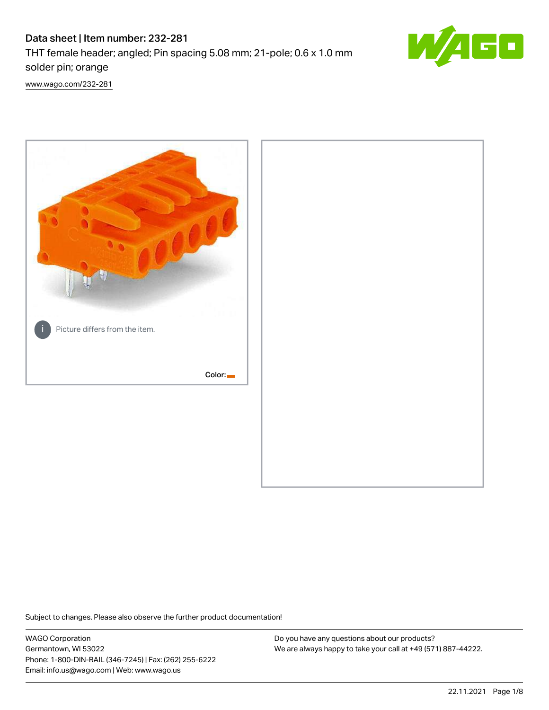# Data sheet | Item number: 232-281 THT female header; angled; Pin spacing 5.08 mm; 21-pole; 0.6 x 1.0 mm solder pin; orange



[www.wago.com/232-281](http://www.wago.com/232-281)



Subject to changes. Please also observe the further product documentation!

WAGO Corporation Germantown, WI 53022 Phone: 1-800-DIN-RAIL (346-7245) | Fax: (262) 255-6222 Email: info.us@wago.com | Web: www.wago.us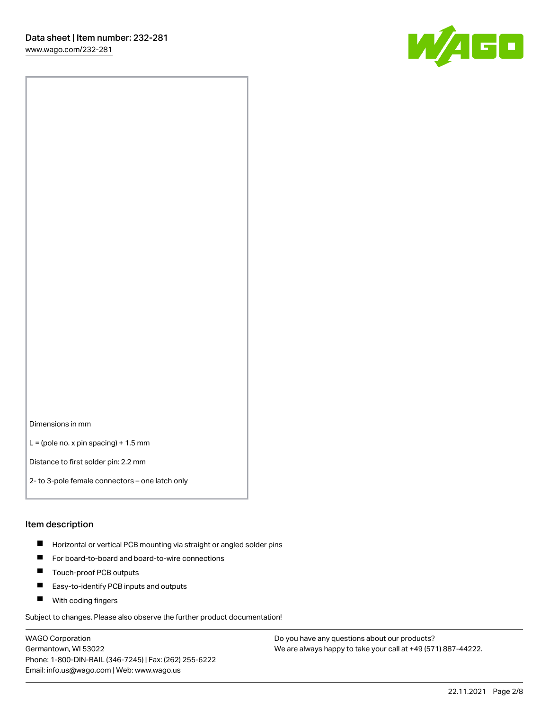

Dimensions in mm

 $L =$  (pole no. x pin spacing) + 1.5 mm

Distance to first solder pin: 2.2 mm

2- to 3-pole female connectors – one latch only

#### Item description

- **Horizontal or vertical PCB mounting via straight or angled solder pins**
- For board-to-board and board-to-wire connections
- $\blacksquare$ Touch-proof PCB outputs
- $\blacksquare$ Easy-to-identify PCB inputs and outputs
- **Now With coding fingers**

Subject to changes. Please also observe the further product documentation!

WAGO Corporation Germantown, WI 53022 Phone: 1-800-DIN-RAIL (346-7245) | Fax: (262) 255-6222 Email: info.us@wago.com | Web: www.wago.us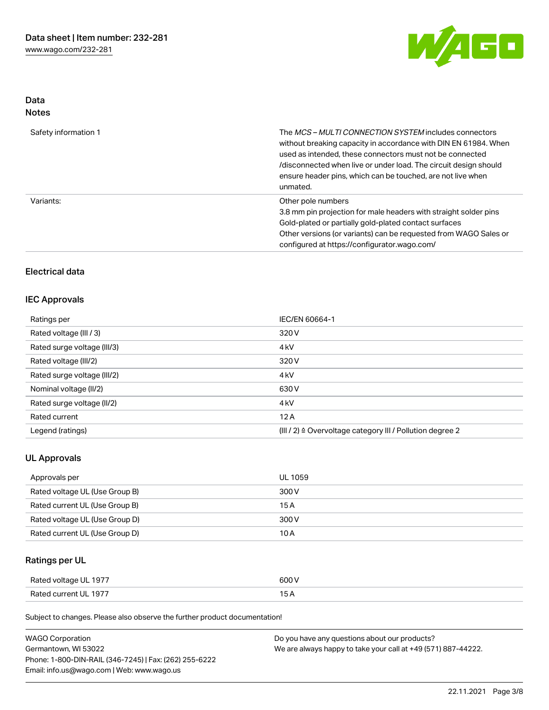

## Data Notes

| Safety information 1 | The <i>MCS – MULTI CONNECTION SYSTEM</i> includes connectors<br>without breaking capacity in accordance with DIN EN 61984. When<br>used as intended, these connectors must not be connected<br>/disconnected when live or under load. The circuit design should<br>ensure header pins, which can be touched, are not live when<br>unmated. |
|----------------------|--------------------------------------------------------------------------------------------------------------------------------------------------------------------------------------------------------------------------------------------------------------------------------------------------------------------------------------------|
| Variants:            | Other pole numbers<br>3.8 mm pin projection for male headers with straight solder pins<br>Gold-plated or partially gold-plated contact surfaces<br>Other versions (or variants) can be requested from WAGO Sales or<br>configured at https://configurator.wago.com/                                                                        |

## Electrical data

### IEC Approvals

| Ratings per                 | IEC/EN 60664-1                                                       |
|-----------------------------|----------------------------------------------------------------------|
| Rated voltage (III / 3)     | 320 V                                                                |
| Rated surge voltage (III/3) | 4 <sub>k</sub> V                                                     |
| Rated voltage (III/2)       | 320 V                                                                |
| Rated surge voltage (III/2) | 4 <sub>k</sub> V                                                     |
| Nominal voltage (II/2)      | 630 V                                                                |
| Rated surge voltage (II/2)  | 4 <sub>k</sub> V                                                     |
| Rated current               | 12A                                                                  |
| Legend (ratings)            | (III / 2) $\triangleq$ Overvoltage category III / Pollution degree 2 |

### UL Approvals

| Approvals per                  | UL 1059 |
|--------------------------------|---------|
| Rated voltage UL (Use Group B) | 300 V   |
| Rated current UL (Use Group B) | 15 A    |
| Rated voltage UL (Use Group D) | 300 V   |
| Rated current UL (Use Group D) | 10 A    |

## Ratings per UL

| Rated voltage UL 1977 | 600 V |
|-----------------------|-------|
| Rated current UL 1977 |       |

Subject to changes. Please also observe the further product documentation!

| <b>WAGO Corporation</b>                                | Do you have any questions about our products?                 |
|--------------------------------------------------------|---------------------------------------------------------------|
| Germantown, WI 53022                                   | We are always happy to take your call at +49 (571) 887-44222. |
| Phone: 1-800-DIN-RAIL (346-7245)   Fax: (262) 255-6222 |                                                               |
| Email: info.us@wago.com   Web: www.wago.us             |                                                               |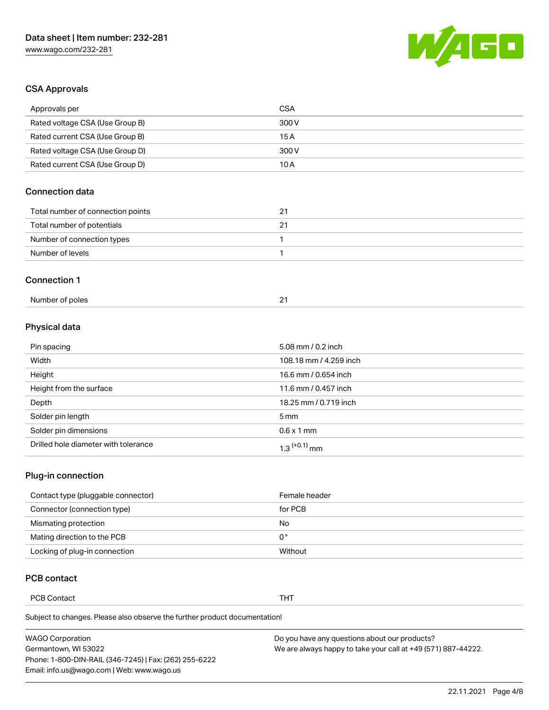

## CSA Approvals

| Approvals per                     | <b>CSA</b> |
|-----------------------------------|------------|
| Rated voltage CSA (Use Group B)   | 300 V      |
| Rated current CSA (Use Group B)   | 15A        |
| Rated voltage CSA (Use Group D)   | 300 V      |
| Rated current CSA (Use Group D)   | 10A        |
| <b>Connection data</b>            |            |
| Total number of connection points | 21         |
| Total number of potentials        | 21         |
|                                   |            |
| Number of connection types        | 1          |
| Number of levels                  | 1          |
| <b>Connection 1</b>               |            |

## Physical data

| Pin spacing                          | 5.08 mm / 0.2 inch     |
|--------------------------------------|------------------------|
| Width                                | 108.18 mm / 4.259 inch |
| Height                               | 16.6 mm / 0.654 inch   |
| Height from the surface              | 11.6 mm / 0.457 inch   |
| Depth                                | 18.25 mm / 0.719 inch  |
| Solder pin length                    | $5 \,\mathrm{mm}$      |
| Solder pin dimensions                | $0.6 \times 1$ mm      |
| Drilled hole diameter with tolerance | $1.3$ $(+0.1)$ mm      |

## Plug-in connection

| Contact type (pluggable connector) | Female header |
|------------------------------------|---------------|
| Connector (connection type)        | for PCB       |
| Mismating protection               | No            |
| Mating direction to the PCB        | 0°            |
| Locking of plug-in connection      | Without       |

### PCB contact

PCB Contact **THT** 

Subject to changes. Please also observe the further product documentation!

| <b>WAGO Corporation</b>                                | Do you have any questions about our products?                 |
|--------------------------------------------------------|---------------------------------------------------------------|
| Germantown, WI 53022                                   | We are always happy to take your call at +49 (571) 887-44222. |
| Phone: 1-800-DIN-RAIL (346-7245)   Fax: (262) 255-6222 |                                                               |
| Email: info.us@wago.com   Web: www.wago.us             |                                                               |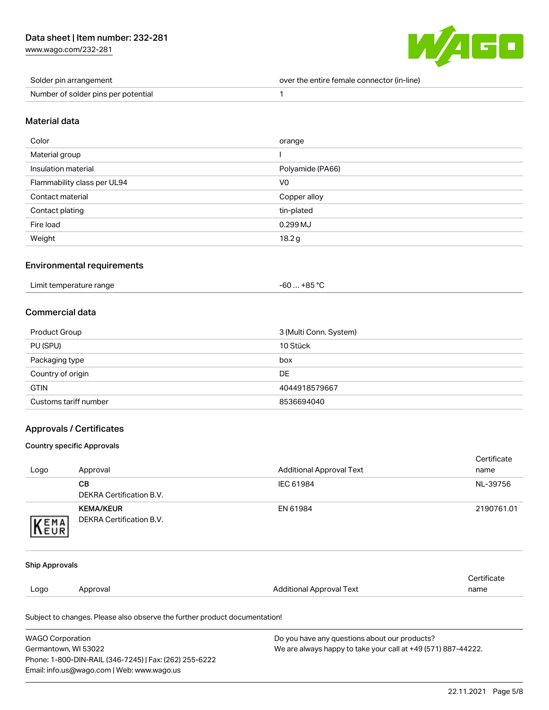[www.wago.com/232-281](http://www.wago.com/232-281)



| Solder pin arrangement              | over the entire female connector (in-line) |
|-------------------------------------|--------------------------------------------|
| Number of solder pins per potential |                                            |

#### Material data

| Color                       | orange           |
|-----------------------------|------------------|
| Material group              |                  |
| Insulation material         | Polyamide (PA66) |
| Flammability class per UL94 | V <sub>0</sub>   |
| Contact material            | Copper alloy     |
| Contact plating             | tin-plated       |
| Fire load                   | 0.299 MJ         |
| Weight                      | 18.2 g           |

#### Environmental requirements

| Limit temperature range | $-60+85 °C$ |
|-------------------------|-------------|
|                         |             |

### Commercial data

| Product Group         | 3 (Multi Conn. System) |
|-----------------------|------------------------|
| PU (SPU)              | 10 Stück               |
| Packaging type        | box                    |
| Country of origin     | DE                     |
| <b>GTIN</b>           | 4044918579667          |
| Customs tariff number | 8536694040             |

#### Approvals / Certificates

#### Country specific Approvals

Phone: 1-800-DIN-RAIL (346-7245) | Fax: (262) 255-6222

Email: info.us@wago.com | Web: www.wago.us

|                       |                                                                            |                                                               | Certificate |  |
|-----------------------|----------------------------------------------------------------------------|---------------------------------------------------------------|-------------|--|
| Logo                  | Approval                                                                   | <b>Additional Approval Text</b>                               | name        |  |
|                       | <b>CB</b>                                                                  | IEC 61984                                                     | NL-39756    |  |
|                       | <b>DEKRA Certification B.V.</b>                                            |                                                               |             |  |
|                       | <b>KEMA/KEUR</b>                                                           | EN 61984                                                      | 2190761.01  |  |
| KEMA                  | <b>DEKRA Certification B.V.</b>                                            |                                                               |             |  |
|                       |                                                                            |                                                               |             |  |
| <b>Ship Approvals</b> |                                                                            |                                                               |             |  |
|                       |                                                                            |                                                               | Certificate |  |
| Logo                  | Approval                                                                   | <b>Additional Approval Text</b>                               | name        |  |
|                       | Subject to changes. Please also observe the further product documentation! |                                                               |             |  |
|                       | <b>WAGO Corporation</b><br>Do you have any questions about our products?   |                                                               |             |  |
| Germantown, WI 53022  |                                                                            | We are always happy to take your call at +49 (571) 887-44222. |             |  |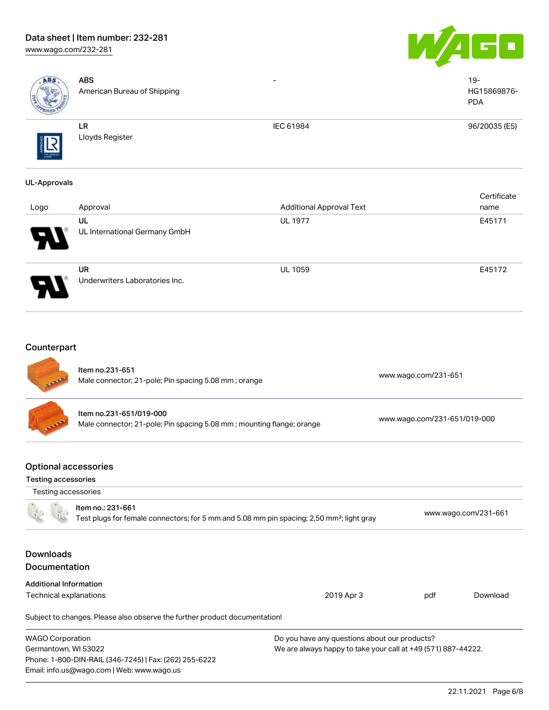## Data sheet | Item number: 232-281 [www.wago.com/232-281](http://www.wago.com/232-281)





| ABS                                                | <b>ABS</b><br>American Bureau of Shipping                                                                                                         |                                                                                                                |                              | $19 -$<br>HG15869876-<br><b>PDA</b> |  |
|----------------------------------------------------|---------------------------------------------------------------------------------------------------------------------------------------------------|----------------------------------------------------------------------------------------------------------------|------------------------------|-------------------------------------|--|
|                                                    | ${\sf LR}$<br>Lloyds Register                                                                                                                     | IEC 61984                                                                                                      |                              | 96/20035 (E5)                       |  |
| <b>UL-Approvals</b>                                |                                                                                                                                                   |                                                                                                                |                              |                                     |  |
| Logo                                               | Approval                                                                                                                                          | <b>Additional Approval Text</b>                                                                                |                              | Certificate<br>name                 |  |
|                                                    | UL<br>UL International Germany GmbH                                                                                                               | <b>UL 1977</b>                                                                                                 |                              | E45171                              |  |
|                                                    | <b>UR</b><br>Underwriters Laboratories Inc.                                                                                                       | <b>UL 1059</b>                                                                                                 |                              | E45172                              |  |
| Counterpart                                        | Item no.231-651<br>Male connector; 21-pole; Pin spacing 5.08 mm; orange                                                                           |                                                                                                                | www.wago.com/231-651         |                                     |  |
|                                                    | Item no.231-651/019-000<br>Male connector; 21-pole; Pin spacing 5.08 mm; mounting flange; orange                                                  |                                                                                                                | www.wago.com/231-651/019-000 |                                     |  |
| <b>Optional accessories</b><br>Testing accessories |                                                                                                                                                   |                                                                                                                |                              |                                     |  |
|                                                    | Testing accessories<br>Item no.: 231-661<br>Test plugs for female connectors; for 5 mm and 5.08 mm pin spacing; 2,50 mm <sup>2</sup> ; light gray |                                                                                                                |                              | www.wago.com/231-661                |  |
| <b>Downloads</b><br>Documentation                  |                                                                                                                                                   |                                                                                                                |                              |                                     |  |
| <b>Additional Information</b>                      |                                                                                                                                                   |                                                                                                                |                              |                                     |  |
| Technical explanations                             |                                                                                                                                                   | 2019 Apr 3                                                                                                     | pdf                          | Download                            |  |
|                                                    | Subject to changes. Please also observe the further product documentation!                                                                        |                                                                                                                |                              |                                     |  |
| <b>WAGO Corporation</b><br>Germantown, WI 53022    | Phone: 1-800-DIN-RAIL (346-7245)   Fax: (262) 255-6222<br>Email: info.us@wago.com   Web: www.wago.us                                              | Do you have any questions about our products?<br>We are always happy to take your call at +49 (571) 887-44222. |                              |                                     |  |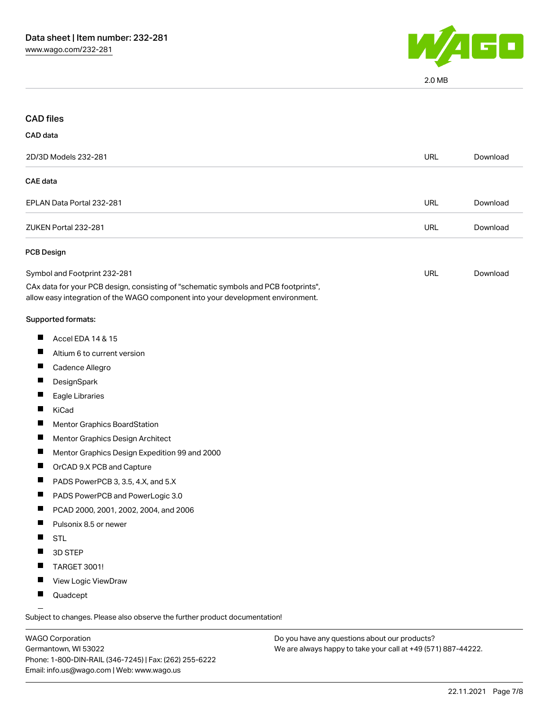

2.0 MB

| <b>CAD files</b>             |                                                                                                                                                                        |            |          |
|------------------------------|------------------------------------------------------------------------------------------------------------------------------------------------------------------------|------------|----------|
| CAD data                     |                                                                                                                                                                        |            |          |
|                              | 2D/3D Models 232-281                                                                                                                                                   | <b>URL</b> | Download |
| <b>CAE</b> data              |                                                                                                                                                                        |            |          |
|                              | EPLAN Data Portal 232-281                                                                                                                                              | <b>URL</b> | Download |
|                              | ZUKEN Portal 232-281                                                                                                                                                   | <b>URL</b> | Download |
|                              | PCB Design                                                                                                                                                             |            |          |
| Symbol and Footprint 232-281 |                                                                                                                                                                        | <b>URL</b> | Download |
|                              | CAx data for your PCB design, consisting of "schematic symbols and PCB footprints",<br>allow easy integration of the WAGO component into your development environment. |            |          |
|                              | Supported formats:                                                                                                                                                     |            |          |
| H                            | Accel EDA 14 & 15                                                                                                                                                      |            |          |
| H                            | Altium 6 to current version                                                                                                                                            |            |          |
|                              | Cadence Allegro                                                                                                                                                        |            |          |
|                              | DesignSpark                                                                                                                                                            |            |          |
| ш                            | Eagle Libraries                                                                                                                                                        |            |          |
|                              | KiCad                                                                                                                                                                  |            |          |
|                              | <b>Mentor Graphics BoardStation</b>                                                                                                                                    |            |          |
| $\blacksquare$               | Mentor Graphics Design Architect                                                                                                                                       |            |          |
| ш                            | Mentor Graphics Design Expedition 99 and 2000                                                                                                                          |            |          |
|                              | OrCAD 9.X PCB and Capture                                                                                                                                              |            |          |
|                              | PADS PowerPCB 3, 3.5, 4.X, and 5.X                                                                                                                                     |            |          |
| $\blacksquare$               | PADS PowerPCB and PowerLogic 3.0                                                                                                                                       |            |          |
|                              | PCAD 2000, 2001, 2002, 2004, and 2006                                                                                                                                  |            |          |
|                              | Pulsonix 8.5 or newer                                                                                                                                                  |            |          |
|                              | <b>STL</b>                                                                                                                                                             |            |          |
|                              | 3D STEP                                                                                                                                                                |            |          |
|                              | TARGET 3001!                                                                                                                                                           |            |          |
|                              | View Logic ViewDraw                                                                                                                                                    |            |          |
|                              | Quadcept                                                                                                                                                               |            |          |

.<br>Subject to changes. Please also observe the further product documentation!

WAGO Corporation Germantown, WI 53022 Phone: 1-800-DIN-RAIL (346-7245) | Fax: (262) 255-6222 Email: info.us@wago.com | Web: www.wago.us